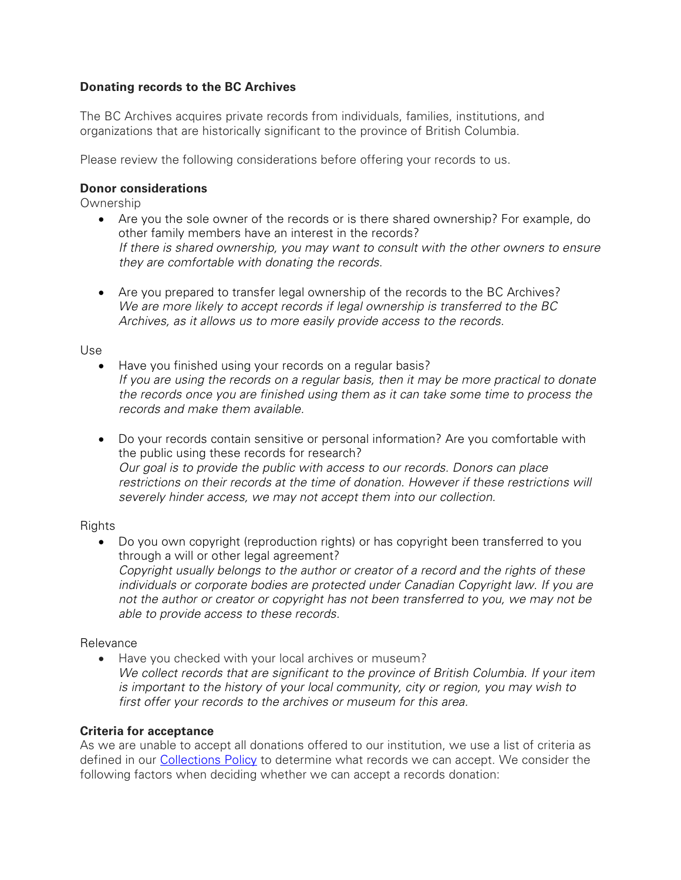## **Donating records to the BC Archives**

The BC Archives acquires private records from individuals, families, institutions, and organizations that are historically significant to the province of British Columbia.

Please review the following considerations before offering your records to us.

### **Donor considerations**

**Ownership** 

- Are you the sole owner of the records or is there shared ownership? For example, do other family members have an interest in the records? *If there is shared ownership, you may want to consult with the other owners to ensure they are comfortable with donating the records*.
- Are you prepared to transfer legal ownership of the records to the BC Archives? *We are more likely to accept records if legal ownership is transferred to the BC Archives, as it allows us to more easily provide access to the records.*

#### Use

- Have you finished using your records on a regular basis? *If you are using the records on a regular basis, then it may be more practical to donate the records once you are finished using them as it can take some time to process the records and make them available.*
- Do your records contain sensitive or personal information? Are you comfortable with the public using these records for research? *Our goal is to provide the public with access to our records. Donors can place restrictions on their records at the time of donation. However if these restrictions will severely hinder access, we may not accept them into our collection.*

### **Rights**

• Do you own copyright (reproduction rights) or has copyright been transferred to you through a will or other legal agreement? *Copyright usually belongs to the author or creator of a record and the rights of these individuals or corporate bodies are protected under Canadian Copyright law. If you are not the author or creator or copyright has not been transferred to you, we may not be able to provide access to these records.*

### Relevance

• Have you checked with your local archives or museum? *We collect records that are significant to the province of British Columbia. If your item is important to the history of your local community, city or region, you may wish to first offer your records to the archives or museum for this area.*

### **Criteria for acceptance**

As we are unable to accept all donations offered to our institution, we use a list of criteria as defined in our [Collections Policy](https://royalbcmuseum.bc.ca/sites/default/files/documents/collection_policy_2017.pdf) to determine what records we can accept. We consider the following factors when deciding whether we can accept a records donation: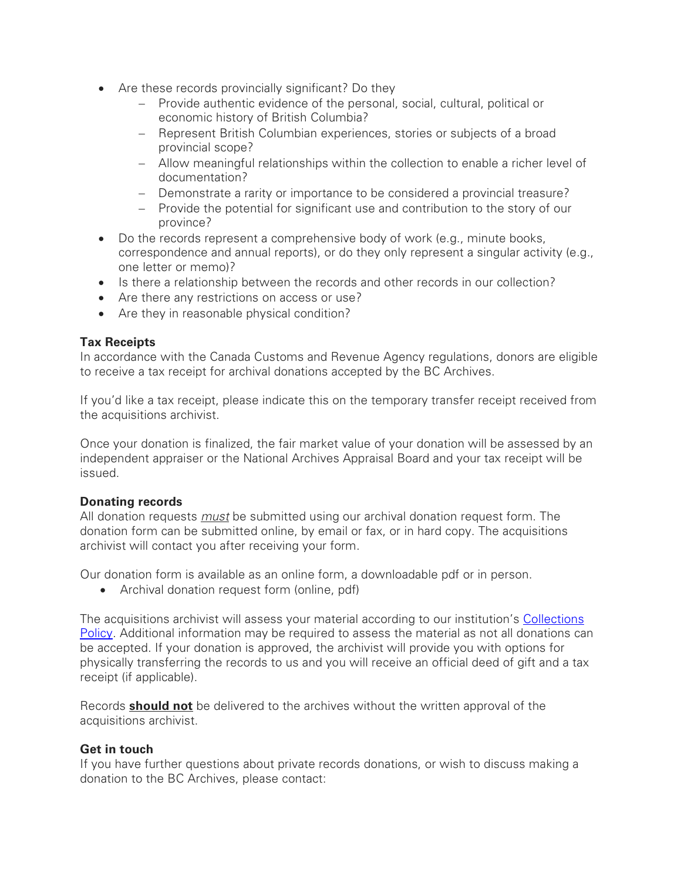- Are these records provincially significant? Do they
	- − Provide authentic evidence of the personal, social, cultural, political or economic history of British Columbia?
	- − Represent British Columbian experiences, stories or subjects of a broad provincial scope?
	- − Allow meaningful relationships within the collection to enable a richer level of documentation?
	- − Demonstrate a rarity or importance to be considered a provincial treasure?
	- − Provide the potential for significant use and contribution to the story of our province?
- Do the records represent a comprehensive body of work (e.g., minute books, correspondence and annual reports), or do they only represent a singular activity (e.g., one letter or memo)?
- Is there a relationship between the records and other records in our collection?
- Are there any restrictions on access or use?
- Are they in reasonable physical condition?

# **Tax Receipts**

In accordance with the Canada Customs and Revenue Agency regulations, donors are eligible to receive a tax receipt for archival donations accepted by the BC Archives.

If you'd like a tax receipt, please indicate this on the temporary transfer receipt received from the acquisitions archivist.

Once your donation is finalized, the fair market value of your donation will be assessed by an independent appraiser or the National Archives Appraisal Board and your tax receipt will be issued.

### **Donating records**

All donation requests *must* be submitted using our archival donation request form. The donation form can be submitted online, by email or fax, or in hard copy. The acquisitions archivist will contact you after receiving your form.

Our donation form is available as an online form, a downloadable pdf or in person.

• Archival donation request form (online, pdf)

The acquisitions archivist will assess your material according to our institution's [Collections](https://royalbcmuseum.bc.ca/sites/default/files/documents/collection_policy_2017.pdf)  [Policy.](https://royalbcmuseum.bc.ca/sites/default/files/documents/collection_policy_2017.pdf) Additional information may be required to assess the material as not all donations can be accepted. If your donation is approved, the archivist will provide you with options for physically transferring the records to us and you will receive an official deed of gift and a tax receipt (if applicable).

Records **should not** be delivered to the archives without the written approval of the acquisitions archivist.

### **Get in touch**

If you have further questions about private records donations, or wish to discuss making a donation to the BC Archives, please contact: